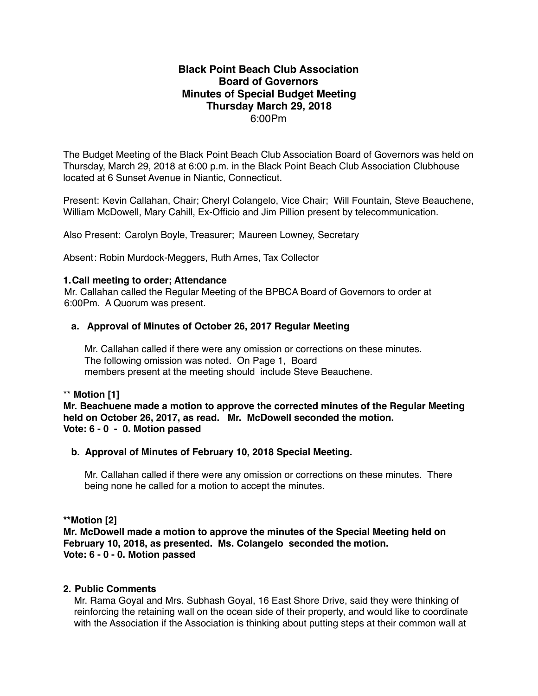## **Black Point Beach Club Association Board of Governors Minutes of Special Budget Meeting Thursday March 29, 2018** 6:00Pm

The Budget Meeting of the Black Point Beach Club Association Board of Governors was held on Thursday, March 29, 2018 at 6:00 p.m. in the Black Point Beach Club Association Clubhouse located at 6 Sunset Avenue in Niantic, Connecticut.

Present: Kevin Callahan, Chair; Cheryl Colangelo, Vice Chair; Will Fountain, Steve Beauchene, William McDowell, Mary Cahill, Ex-Officio and Jim Pillion present by telecommunication.

Also Present: Carolyn Boyle, Treasurer; Maureen Lowney, Secretary

Absent: Robin Murdock-Meggers, Ruth Ames, Tax Collector

#### **1.Call meeting to order; Attendance**

Mr. Callahan called the Regular Meeting of the BPBCA Board of Governors to order at 6:00Pm. A Quorum was present.

#### **a. Approval of Minutes of October 26, 2017 Regular Meeting**

 Mr. Callahan called if there were any omission or corrections on these minutes. The following omission was noted. On Page 1, Board members present at the meeting should include Steve Beauchene.

### \*\* **Motion [1]**

**Mr. Beachuene made a motion to approve the corrected minutes of the Regular Meeting held on October 26, 2017, as read. Mr. McDowell seconded the motion. Vote: 6 - 0 - 0. Motion passed**

### **b. Approval of Minutes of February 10, 2018 Special Meeting.**

 Mr. Callahan called if there were any omission or corrections on these minutes. There being none he called for a motion to accept the minutes.

## **\*\*Motion [2]**

**Mr. McDowell made a motion to approve the minutes of the Special Meeting held on February 10, 2018, as presented. Ms. Colangelo seconded the motion. Vote: 6 - 0 - 0. Motion passed**

#### **2. Public Comments**

Mr. Rama Goyal and Mrs. Subhash Goyal, 16 East Shore Drive, said they were thinking of reinforcing the retaining wall on the ocean side of their property, and would like to coordinate with the Association if the Association is thinking about putting steps at their common wall at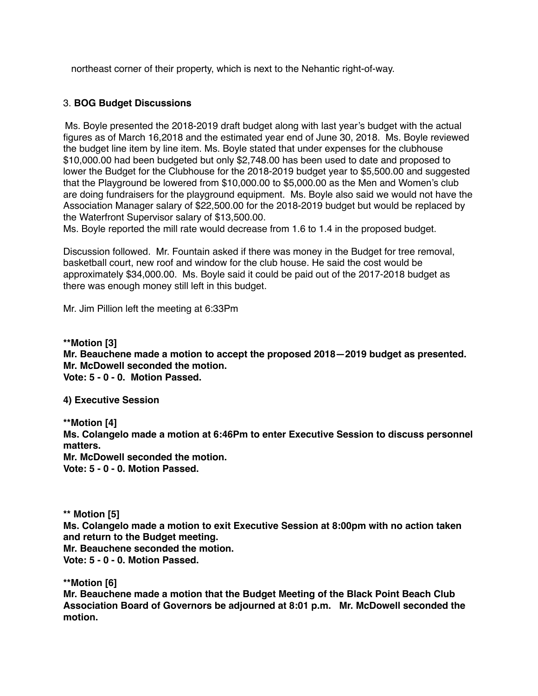northeast corner of their property, which is next to the Nehantic right-of-way.

## 3. **BOG Budget Discussions**

Ms. Boyle presented the 2018-2019 draft budget along with last year's budget with the actual figures as of March 16,2018 and the estimated year end of June 30, 2018. Ms. Boyle reviewed the budget line item by line item. Ms. Boyle stated that under expenses for the clubhouse \$10,000.00 had been budgeted but only \$2,748.00 has been used to date and proposed to lower the Budget for the Clubhouse for the 2018-2019 budget year to \$5,500.00 and suggested that the Playground be lowered from \$10,000.00 to \$5,000.00 as the Men and Women's club are doing fundraisers for the playground equipment. Ms. Boyle also said we would not have the Association Manager salary of \$22,500.00 for the 2018-2019 budget but would be replaced by the Waterfront Supervisor salary of \$13,500.00.

Ms. Boyle reported the mill rate would decrease from 1.6 to 1.4 in the proposed budget.

Discussion followed. Mr. Fountain asked if there was money in the Budget for tree removal, basketball court, new roof and window for the club house. He said the cost would be approximately \$34,000.00. Ms. Boyle said it could be paid out of the 2017-2018 budget as there was enough money still left in this budget.

Mr. Jim Pillion left the meeting at 6:33Pm

**\*\*Motion [3] Mr. Beauchene made a motion to accept the proposed 2018—2019 budget as presented. Mr. McDowell seconded the motion. Vote: 5 - 0 - 0. Motion Passed.**

**4) Executive Session**

**\*\*Motion [4]**

**Ms. Colangelo made a motion at 6:46Pm to enter Executive Session to discuss personnel matters.**

**Mr. McDowell seconded the motion.**

**Vote: 5 - 0 - 0. Motion Passed.**

**\*\* Motion [5]**

**Ms. Colangelo made a motion to exit Executive Session at 8:00pm with no action taken and return to the Budget meeting.**

**Mr. Beauchene seconded the motion.**

**Vote: 5 - 0 - 0. Motion Passed.**

**\*\*Motion [6]**

**Mr. Beauchene made a motion that the Budget Meeting of the Black Point Beach Club Association Board of Governors be adjourned at 8:01 p.m. Mr. McDowell seconded the motion.**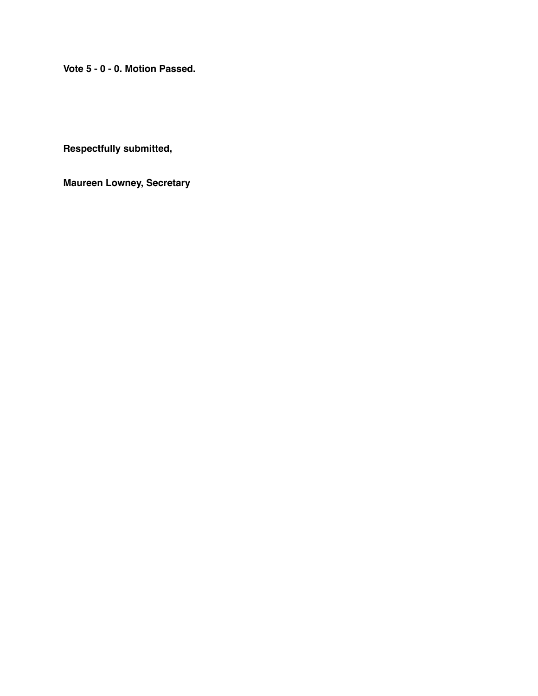**Vote 5 - 0 - 0. Motion Passed.**

**Respectfully submitted,**

**Maureen Lowney, Secretary**